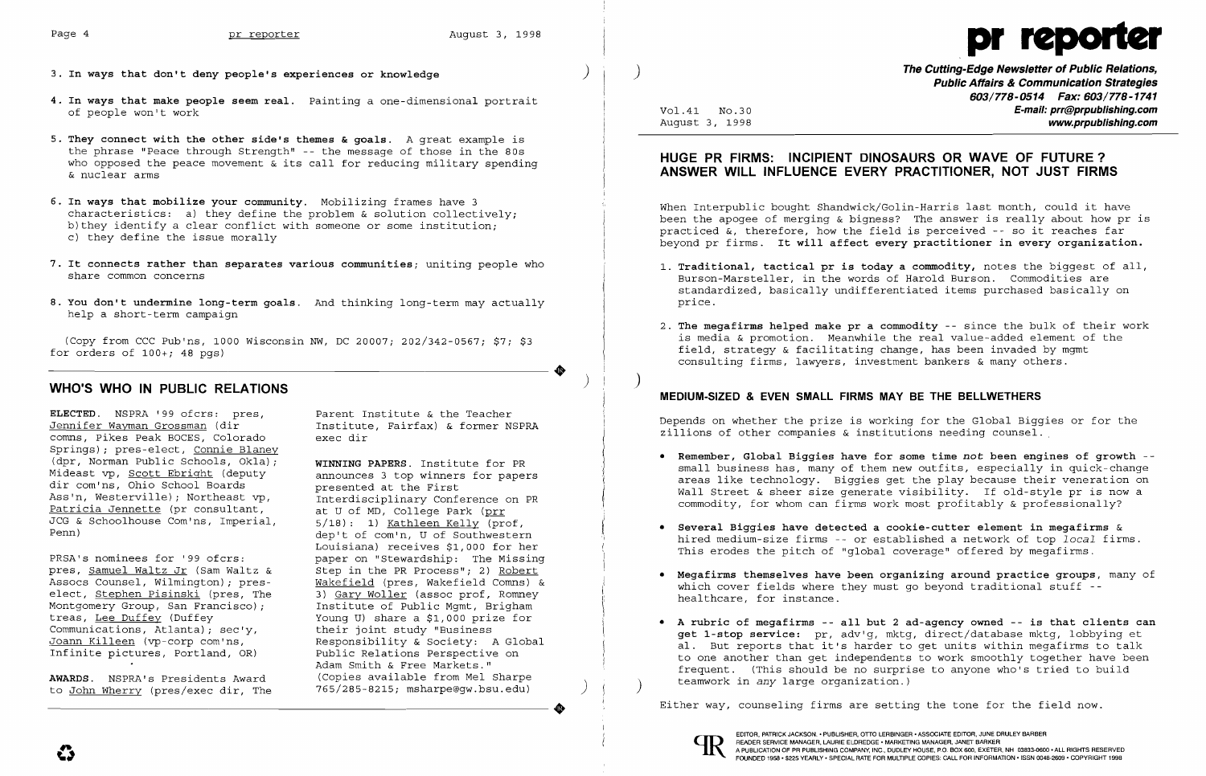

- **3. In ways that don't deny people's experiences or knowledge** )
- **4. In ways that make people seem real.** Painting a one-dimensional portrait of people won't work
- **5. They connect with the other side's themes & goals.** A great example is the phrase "Peace through Strength" -- the message of those in the 80s who opposed the peace movement  $\alpha$  its call for reducing military spending & nuclear arms
- **6. In ways that mobilize your community.** Mobilizing frames have 3 characteristics: a) they define the problem & solution collectively; b) they identify a clear conflict with someone or some institution; c) they define the issue morally
- **7. It connects rather than separates various communities;** uniting people who share common concerns
- **8. You don't undermine long-term goals.** And thinking long-term may actually help a short-term campaign

(Copy from CCC Pub'ns, 1000 Wisconsin NW, DC 20007; 202/342-0567; \$7; \$3<br>
for orders of 100+; 48 pgs)<br> **WHO'S WHO IN PUBLIC RELATIONS** for orders of  $100+$ ; 48 pgs)

**ELECTED.** NSPRA '99 ofcrs: pres, Parent Institute & the Teacher<br>Jennifer Wayman Grossman (dir Fastitute, Fairfax) & former NS comns, Pikes Peak BOCES, Colorado Springs); pres-elect, <u>Connie Blaney</u><br>(dpr, Norman Public Schools, Okla); **WINNING PAPERS**. Institute for PR (dpr, Norman Public Schools, Okla); **WINNING PAPERS.** Institute for PR Mideast vp, Scott Ebright (deputy announces 3 top winners<br>dir com'ns, Ohio School Boards betweented at the First dir com'ns, Ohio School Boards<br>Ass'n, Westerville): Northeast vp. Patricia Jennette (pr consultant, at U of MD, College Park (prr JCG & Schoolhouse Com'ns, Imperial,  $5/18$ ): 1) Kathleen Kelly (prof, JCG & Schoolhouse Com'ns, Imperial, Penn)

Montgomery Group, San Francisco);<br>treas, Lee Duffey (Duffey Communications, Atlanta); sec'y,<br>Joann Killeen (vp-corp com'ns,

to John Wherry (pres/exec dir, The

Institute, Fairfax) & former NSPRA<br>exec dir

Interdisciplinary Conference on PR<br>at U of MD, College Park (prr dep't of com'n, U of Southwestern Louisiana) receives \$1,000 for her PRSA's nominees for '99 ofcrs: paper on "Stewardship: The Missing<br>pres, Samuel Waltz Jr (Sam Waltz & Step in the PR Process"; 2) Robert pres, <u>Samuel Waltz Jr</u> (Sam Waltz & Step in the PR Process"; 2) <u>Robert</u><br>Assocs Counsel, Wilmington); pres- Wakefield (pres, Wakefield Comns) & Assocs Counsel, Wilmington); pres-<br>elect, Stephen Pisinski (pres, The 3) Gary Woller (assoc prof, Romney 3) <u>Gary Woller</u> (assoc prof, Romney<br>Institute of Public Mqmt, Brigham Young U) share a \$1,000 prize for<br>their joint study "Business Joann Killeen (vp-corp com'ns, Responsibility & Society: A Global Infinite pictures, Portland, OR) Public Relations Perspective on Public Relations Perspective on Adam Smith & Free Markets." AWARDS. NSPRA's Presidents Award (Copies available from Mel Sharpe<br>to John Wherry (pres/exec dir The 765/285-8215; msharpe@qw.bsu.edu)

) **The Cutting-Edge Newsletter of Public Relations, Public Affairs & Communication Strategies 603/778-0514 Fax: 603/778-1741**  Vo1.41 No.30 **E-mail: prr@prpublishing.com**  www.prpublishing.com

,

 $\big)$ 

•

# **HUGE PR FIRMS: INCIPIENT DINOSAURS OR WAVE OF FUTURE? ANSWER WILL INFLUENCE EVERY PRACTITIONER, NOT JUST FIRMS**

When Interpublic bought Shandwick/Golin-Harris last month, could it have been the apogee of merging & bigness? The answer is really about how pr is practiced &, therefore, how the field is perceived -- so it reaches far beyond pr firms. **It will affect every practitioner in every organization.** 

**1. Traditional, tactical pr is today a commodity,** notes the biggest of all, Burson-Marsteller, in the words of Harold Burson. Commodities are standardized, basically undifferentiated items purchased basically on

2. **The megafirms helped make pr a commodity** -- since the bulk of their work is media & promotion. Meanwhile the real value-added element of the

- price.
- field, strategy & facilitating change, has been invaded by mgmt consulting firms, lawyers, investment bankers & many others.

## **MEDIUM-SIZED & EVEN SMALL FIRMS MAY BE THE BELLWETHERS**

Depends on whether the prize is working for the Global Biggies or for the zillions of other companies & institutions needing counsel. ,

**• Remember, Global Biggies have for some time** *not* **been engines of growth**  small business has, many of them new outfits, especially in quick-change areas like technology. Biggies get the play because their veneration on Wall Street & sheer size generate visibility. If old-style pr is now a commodity, for whom can firms work most profitably & professionally?

hired medium-size firms -- or established a network of top *local* firms.

**• Megafirms themselves have been organizing around practice groups,** many of

- 
- **• Several Biggies have detected a cookie-cutter element in megafirms** & This erodes the pitch of "global coverage" offered by megafirms.
- which cover fields where they must go beyond traditional stuff -healthcare, for instance.
- teamwork in *any* large organization.) )

Either way, counseling firms are setting the tone for the field now.



• **A rubric of megafirms -- all but 2 ad-agency owned -- is that clients can get I-stop service:** pr, adv'g, mktg, direct/database mktg, lobbying et al. But reports that it's harder to get units within megafirms to talk to one another than get independents to work smoothly together have been frequent. (This should be no surprise to anyone who's tried to build